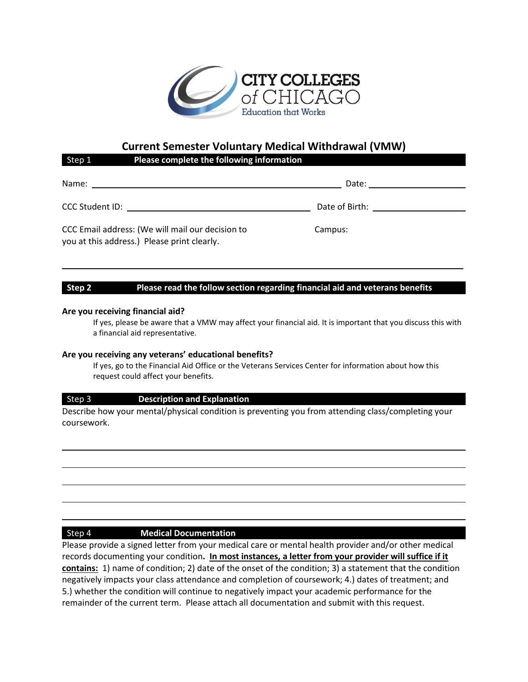

# **Current Semester Voluntary Medical Withdrawal (VMW)**

|                                                                                                 | . |                |  |
|-------------------------------------------------------------------------------------------------|---|----------------|--|
| Name:                                                                                           |   | Date:          |  |
| <b>CCC Student ID:</b>                                                                          |   | Date of Birth: |  |
| CCC Email address: (We will mail our decision to<br>you at this address.) Please print clearly. |   | Campus:        |  |

## **Step 2 Please read the follow section regarding financial aid and veterans benefits**

#### **Are you receiving financial aid?**

If yes, please be aware that a VMW may affect your financial aid. It is important that you discuss this with a financial aid representative.

\_\_\_\_\_\_\_\_\_\_\_\_\_\_\_\_\_\_\_\_\_\_\_\_\_\_\_\_\_\_\_\_\_\_\_\_\_\_\_

### **Are you receiving any veterans' educational benefits?**

Step 1 **Please complete the following information**

If yes, go to the Financial Aid Office or the Veterans Services Center for information about how this request could affect your benefits.

### Step 3 **Description and Explanation**

Describe how your mental/physical condition is preventing you from attending class/completing your coursework.

### Step 4 **Medical Documentation**

Please provide a signed letter from your medical care or mental health provider and/or other medical records documenting your condition**. In most instances, a letter from your provider will suffice if it contains:** 1) name of condition; 2) date of the onset of the condition; 3) a statement that the condition negatively impacts your class attendance and completion of coursework; 4.) dates of treatment; and 5.) whether the condition will continue to negatively impact your academic performance for the remainder of the current term. Please attach all documentation and submit with this request.